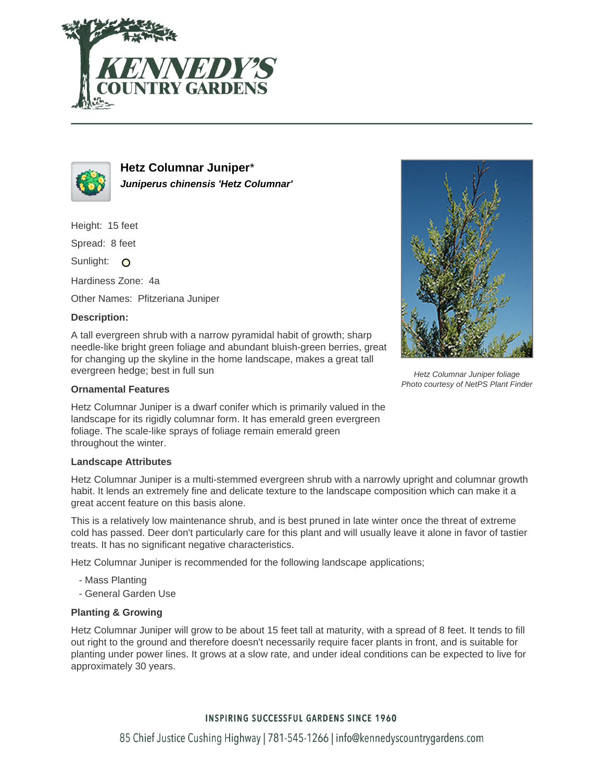



**Hetz Columnar Juniper**\* **Juniperus chinensis 'Hetz Columnar'**

Height: 15 feet

Spread: 8 feet

Sunlight: O

Hardiness Zone: 4a

Other Names: Pfitzeriana Juniper

## **Description:**

A tall evergreen shrub with a narrow pyramidal habit of growth; sharp needle-like bright green foliage and abundant bluish-green berries, great for changing up the skyline in the home landscape, makes a great tall evergreen hedge; best in full sun

## **Ornamental Features**

Hetz Columnar Juniper is a dwarf conifer which is primarily valued in the landscape for its rigidly columnar form. It has emerald green evergreen foliage. The scale-like sprays of foliage remain emerald green throughout the winter.

## **Landscape Attributes**

Hetz Columnar Juniper is a multi-stemmed evergreen shrub with a narrowly upright and columnar growth habit. It lends an extremely fine and delicate texture to the landscape composition which can make it a great accent feature on this basis alone.

This is a relatively low maintenance shrub, and is best pruned in late winter once the threat of extreme cold has passed. Deer don't particularly care for this plant and will usually leave it alone in favor of tastier treats. It has no significant negative characteristics.

Hetz Columnar Juniper is recommended for the following landscape applications;

- Mass Planting
- General Garden Use

## **Planting & Growing**

Hetz Columnar Juniper will grow to be about 15 feet tall at maturity, with a spread of 8 feet. It tends to fill out right to the ground and therefore doesn't necessarily require facer plants in front, and is suitable for planting under power lines. It grows at a slow rate, and under ideal conditions can be expected to live for approximately 30 years.



Hetz Columnar Juniper foliage Photo courtesy of NetPS Plant Finder